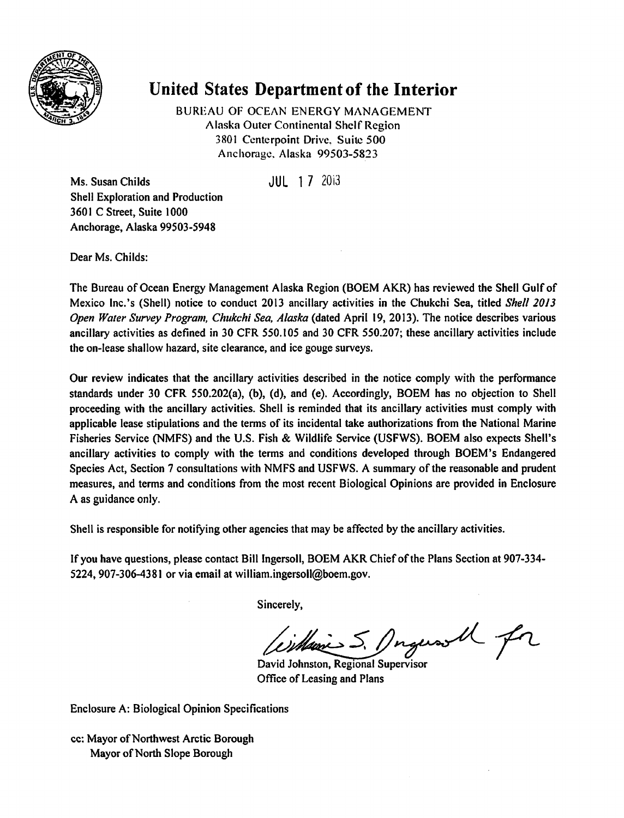

## *United States Department of the Interior*

BUREAU OF OCEAN ENERGY MANAGEMENT Alaska Outer Continental Shelf Region 3801 Centerpoint Drive. Suite 500 Anchorage. Alaska 99503-5823

Ms. Susan Childs JUL 17 2013 Shell Exploration and Production 3601 C Street, Suite 1000 Anchorage, Alaska 99503-5948

Dear Ms. Childs:

The Bureau of Ocean Energy Management Alaska Region (BOEM AKR) has reviewed the Shell Gulf of Mexico Inc.'s (Shell) notice to conduct 2013 ancillary activities in the Chukchi Sea, titled **Shell 20J3 Open Water Survey Program, Chukchi Sea, Alaska** (dated April 19, 2013). The notice describes various ancillary activities as defined in 30 CFR 550.105 and 30 CFR 550.207; these ancillary activities include the on-lease shallow hazard, site clearance, and ice gouge surveys.

Our review indicates that the ancillary activities described in the notice comply with the performance standards under 30 CFR 550.202(a), (b), (d), and (e). Accordingly, BOEM has no objection to Shell proceeding with the ancillary activities. Shell is reminded that its ancillary activities must comply with applicable lease stipulations and the terms of its incidental take authorizations from the National Marine Fisheries Service (NMFS) and the U.S. Fish & Wildlife Service (USFWS). BOEM also expects Shell's ancillary activities to comply with the terms and conditions developed through BOEM's Endangered Species Act, Section 7 consultations with NMFS and USFWS. A summary of the reasonable and prudent measures, and terms and conditions from the most recent Biological Opinions are provided in Enclosure A as guidance only.

Shell is responsible for notifying other agencies that may be affected by the ancillary activities.

If you have questions, please contact Bill Ingersoll, BOEM AKR Chiefofthe Plans Section at 907-334- 5224,907-306-4381 or via email at william.ingersoll@boem.gov.

Sincerely,

Cimbrances 5. Dugeson U for

Office of Leasing and Plans

Enclosure A: Biological Opinion Specifications

cc: Mayor of Northwest Arctic Borough Mayor of North Slope Borough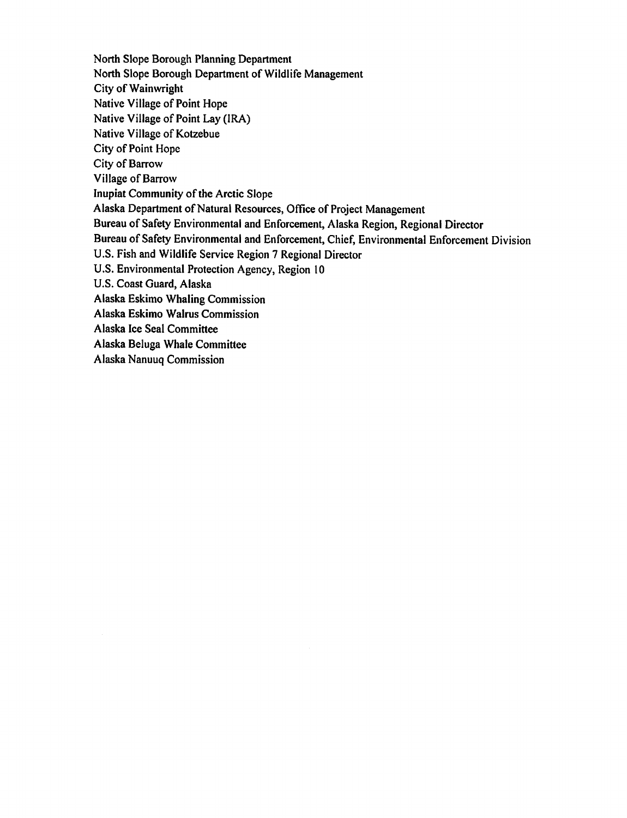North Slope Borough Planning Department North Slope Borough Department of Wildlife Management **City of Wainwright** Native Village of Point Hope Native Village of Point Lay (IRA) Native Village of Kotzebue City of Point Hope City of Barrow Village of Barrow **Inupiat Community of the Arctic Slope** Alaska Department of Natural Resources, Office of Project Management Bureau of Safety Environmental and Enforcement, Alaska Region, Regional Director Bureau of Safety Environmental and Enforcement, Chief, Environmental Enforcement Division U.S. Fish and Wildlife Service Region 7 Regional Director U.S. Environmental Protection Agency, Region 10 U.S. Coast Guard, Alaska Alaska Eskimo Whaling Commission Alaska Eskimo Walrus Commission Alaska Ice Seal Committee Alaska Beluga Whale Committee Alaska Nanuuq Commission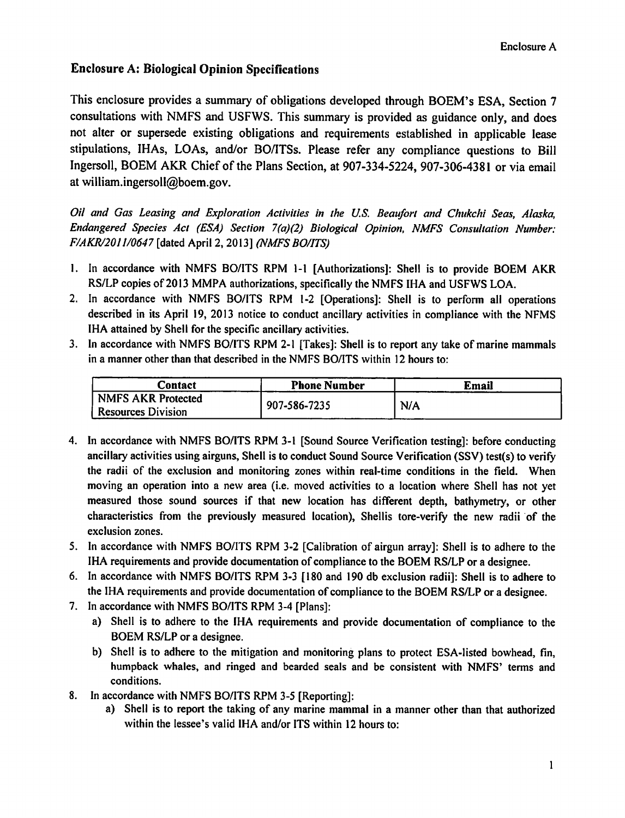## **Enclosure A: Biological Opinion Specifications**

This enclosure provides a summary of obligations developed through BOEM's ESA, Section 7 consultations with NMFS and USFWS. This summary is provided as guidance only, and does not alter or supersede existing obligations and requirements established in applicable lease stipulations, IHAs, LOAs, and/or BO/ITSs. Please refer any compliance questions to Bill Ingersoll, BOEM AKR Chief of the Plans Section, at 907-334-5224, 907-306-4381 or via email at william.ingersoll@boem.gov.

Oil and Gas Leasing and Exploration Activities in the U.S. Beaufort and Chukchi Seas, Alaska, Endangered Species Act (ESA) Section 7(a)(2) Biological Opinion, NMFS Consultation Number: F/AKR/2011/0647 [dated April 2, 2013] (NMFS BO/ITS)

- 1. In accordance with NMFS BO/ITS RPM 1-1 [Authorizations]: Shell is to provide BOEM AKR RS/LP copies of 2013 MMPA authorizations, specifically the NMFS IHA and USFWS LOA.
- 2. In accordance with NMFS BO/ITS RPM 1-2 [Operations]: Shell is to perform all operations described in its April 19, 2013 notice to conduct ancillary activities in compliance with the NFMS IHA attained by Shell for the specific ancillary activities.
- 3. In accordance with NMFS BO/ITS RPM 2-1 [Takes]: Shell is to report any take of marine mammals in a manner other than that described in the NMFS BO/ITS within 12 hours to:

| Contact                   | <b>Phone Number</b> | Email |  |
|---------------------------|---------------------|-------|--|
| NMFS AKR Protected        | 907-586-7235        | N/A   |  |
| <b>Resources Division</b> |                     |       |  |

- 4. In accordance with NMFS BO/ITS RPM 3-1 [Sound Source Verification testing]: before conducting ancillary activities using airguns, Shell is to conduct Sound Source Verification (SSV) test(s) to verify the radii of the exclusion and monitoring zones within real-time conditions in the field. When moving an operation into a new area (i.e. moved activities to a location where Shell has not yet measured those sound sources if that new location has different depth, bathymetry, or other characteristics from the previously measured location). Shellis tore-verify the new radii of the exclusion zones.
- 5. In accordance with NMFS BO/ITS RPM 3-2 [Calibration of airgun array]: Shell is to adhere to the IHA requirements and provide documentation of compliance to the BOEM RS/LP or a designee.
- 6. In accordance with NMFS BO/ITS RPM 3-3 [180 and 190 db exclusion radii]: Shell is to adhere to the IHA requirements and provide documentation of compliance to the BOEM RS/LP or a designee.
- 7. In accordance with NMFS BO/ITS RPM 3-4 [Plans]:
	- a) Shell is to adhere to the IHA requirements and provide documentation of compliance to the BOEM RS/LP or a designee.
	- b) Shell is to adhere to the mitigation and monitoring plans to protect ESA-listed bowhead, fin, humpback whales, and ringed and bearded seals and be consistent with NMFS' terms and conditions.
- In accordance with NMFS BO/ITS RPM 3-5 [Reporting]: 8.
	- a) Shell is to report the taking of any marine mammal in a manner other than that authorized within the lessee's valid IHA and/or ITS within 12 hours to: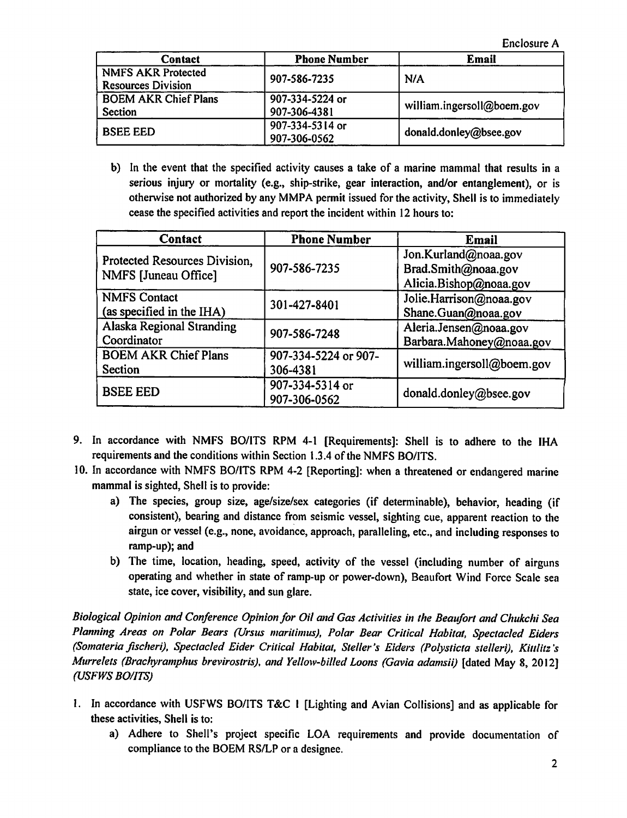Enclosure A

| Contact                     | <b>Phone Number</b> | Email                      |
|-----------------------------|---------------------|----------------------------|
| <b>NMFS AKR Protected</b>   | 907-586-7235        | N/A                        |
| <b>Resources Division</b>   |                     |                            |
| <b>BOEM AKR Chief Plans</b> | 907-334-5224 or     | william.ingersoll@boem.gov |
| Section                     | 907-306-4381        |                            |
| <b>BSEE EED</b>             | 907-334-5314 or     | donald.donley@bsee.gov     |
|                             | 907-306-0562        |                            |

b) In the event that the specified activity causes a take of a marine mammal that results in a serious injury or mortality (e.g., ship-strike, gear interaction, and/or entanglement), or is otherwise not authorized by any MMPA permit issued for the activity. Shell is to immediately cease the specified activities and report the incident within 12 hours to:

| <b>Contact</b>                                        | <b>Phone Number</b>  | Email                      |
|-------------------------------------------------------|----------------------|----------------------------|
| Protected Resources Division,<br>NMFS [Juneau Office] | 907-586-7235         | Jon.Kurland@noaa.gov       |
|                                                       |                      | Brad.Smith@noaa.gov        |
|                                                       |                      | Alicia.Bishop@noaa.gov     |
| <b>NMFS Contact</b>                                   | 301-427-8401         | Jolie.Harrison@noaa.gov    |
| (as specified in the IHA)                             |                      | Shane.Guan@noaa.gov        |
| <b>Alaska Regional Stranding</b>                      | 907-586-7248         | Aleria.Jensen@noaa.gov     |
| Coordinator                                           |                      | Barbara.Mahoney@noaa.gov   |
| <b>BOEM AKR Chief Plans</b>                           | 907-334-5224 or 907- | william.ingersoll@boem.gov |
| Section                                               | 306-4381             |                            |
| <b>BSEE EED</b>                                       | 907-334-5314 or      |                            |
|                                                       | 907-306-0562         | donald.donley@bsee.gov     |

- 9. In accordance with NMFS BO/ITS RPM 4-1 [Requirements]: Shell is to adhere to the IHA requirements and the conditions within Section 1.3.4 of the NMFS BO/ITS.
- 10. In accordance with NMFS BO/ITS RPM 4-2 [Reporting]: when a threatened or endangered marine mammal is sighted. Shell is to provide:
	- a) The species, group size, age/size/sex categories (if determinable), behavior, heading (if consistent), bearing and distance from seismic vessel, sighting cue, apparent reaction to the airgun or vessel (e.g., none, avoidance, approach, paralleling, etc., and including responses to ramp-up); and
	- b) The time, location, heading, speed, activity of the vessel (including number of airguns operating and whether in state of ramp-up or power-down), Beaufort Wind Force Scale sea state, ice cover, visibility, and sun glare.

Biological Opinion and Conference Opinion for Oil and Gas Activities in the Beaufort and Chukchi Sea Planning Areas on Polar Bears (Ursus maritimus), Polar Bear Critical Habitat, Spectacled Eiders (Somateria fischeri), Spectacled Eider Critical Habitat, Steller's Eiders (Polysticta stelleri), Kittlitz's Murrelets (Brachyramphus brevirostris), and Yellow-billed Loons (Gavia adamsii) [dated May 8, 2012] (USFWS BO/ITS)

- 1. In accordance with USFWS BO/ITS T&C 1 [Lighting and Avian Collisions] and as applicable for these activities, Shell is to:
	- a) Adhere to Shell's project specific LOA requirements and provide documentation of compliance to the BOEM RS/LP or a designee.